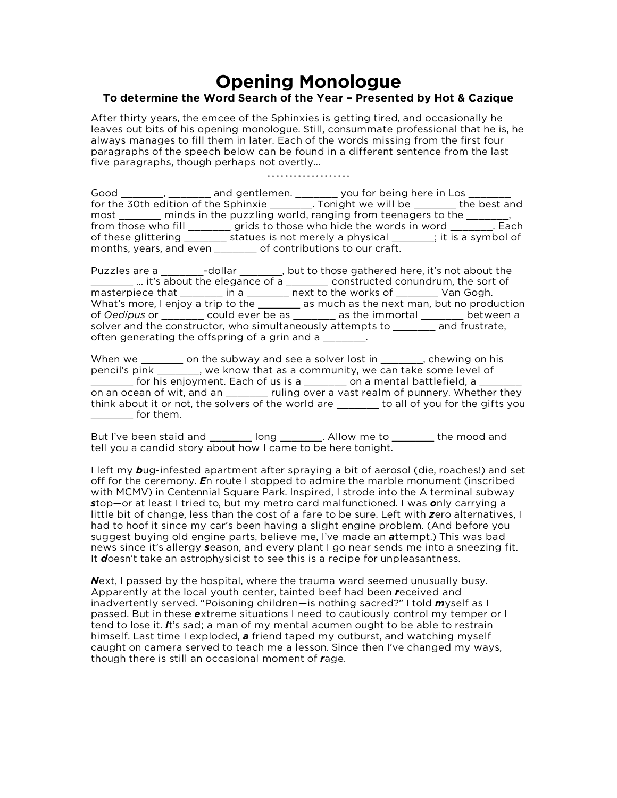## **Opening Monologue**

## **To determine the Word Search of the Year – Presented by Hot & Cazique**

After thirty years, the emcee of the Sphinxies is getting tired, and occasionally he leaves out bits of his opening monologue. Still, consummate professional that he is, he always manages to fill them in later. Each of the words missing from the first four paragraphs of the speech below can be found in a different sentence from the last five paragraphs, though perhaps not overtly…

\* \* \* \* \* \* \* \* \* \* \* \* \* \* \* \* \* \*

Good \_\_\_\_\_\_\_, \_\_\_\_\_\_\_\_ and gentlemen. \_\_\_\_\_\_\_\_ you for being here in Los \_ for the 30th edition of the Sphinxie \_\_\_\_\_\_\_. Tonight we will be \_\_\_\_\_\_\_ the best and most \_\_\_\_\_\_\_\_ minds in the puzzling world, ranging from teenagers to the \_\_\_\_\_\_, from those who fill \_\_\_\_\_\_\_ grids to those who hide the words in word \_\_\_\_\_\_\_. Each of these glittering \_\_\_\_\_\_\_ statues is not merely a physical \_\_\_\_\_\_; it is a symbol of months, years, and even \_\_\_\_\_\_\_ of contributions to our craft.

Puzzles are a \_\_\_\_\_\_\_-dollar \_\_\_\_\_\_\_, but to those gathered here, it's not about the \_\_\_\_\_\_\_ … it's about the elegance of a \_\_\_\_\_\_\_ constructed conundrum, the sort of masterpiece that \_\_\_\_\_\_\_ in a \_\_\_\_\_\_\_ next to the works of \_\_\_\_\_\_\_ Van Gogh. What's more, I enjoy a trip to the \_\_\_\_\_\_\_ as much as the next man, but no production of *Oedipus* or \_\_\_\_\_\_\_ could ever be as \_\_\_\_\_\_\_ as the immortal \_\_\_\_\_\_\_ between a solver and the constructor, who simultaneously attempts to \_\_\_\_\_\_\_ and frustrate, often generating the offspring of a grin and a

When we \_\_\_\_\_\_\_ on the subway and see a solver lost in \_\_\_\_\_\_\_, chewing on his pencil's pink \_\_\_\_\_\_\_, we know that as a community, we can take some level of for his enjoyment. Each of us is a \_\_\_\_\_\_\_\_ on a mental battlefield, a on an ocean of wit, and an early ruling over a vast realm of punnery. Whether they think about it or not, the solvers of the world are **the solut of you for the gifts you**  $\blacksquare$  for them.

But I've been staid and \_\_\_\_\_\_\_ long \_\_\_\_\_\_\_. Allow me to \_\_\_\_\_\_\_ the mood and tell you a candid story about how I came to be here tonight.

I left my *b*ug-infested apartment after spraying a bit of aerosol (die, roaches!) and set off for the ceremony. *E*n route I stopped to admire the marble monument (inscribed with MCMV) in Centennial Square Park. Inspired, I strode into the A terminal subway *s*top—or at least I tried to, but my metro card malfunctioned. I was *o*nly carrying a little bit of change, less than the cost of a fare to be sure. Left with *z*ero alternatives, I had to hoof it since my car's been having a slight engine problem. (And before you suggest buying old engine parts, believe me, I've made an *a*ttempt.) This was bad news since it's allergy *s*eason, and every plant I go near sends me into a sneezing fit. It *d*oesn't take an astrophysicist to see this is a recipe for unpleasantness.

*N*ext, I passed by the hospital, where the trauma ward seemed unusually busy. Apparently at the local youth center, tainted beef had been *r*eceived and inadvertently served. "Poisoning children—is nothing sacred?" I told *m*yself as I passed. But in these *e*xtreme situations I need to cautiously control my temper or I tend to lose it. *I*t's sad; a man of my mental acumen ought to be able to restrain himself. Last time I exploded, *a* friend taped my outburst, and watching myself caught on camera served to teach me a lesson. Since then I've changed my ways, though there is still an occasional moment of *r*age.